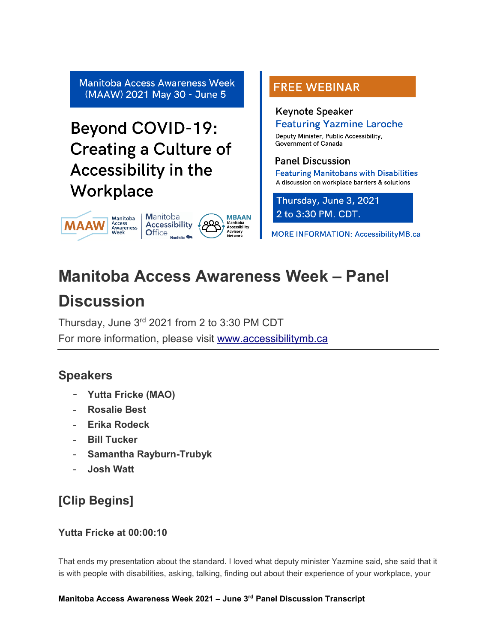**Manitoba Access Awareness Week** (MAAW) 2021 May 30 - June 5

# **Beyond COVID-19: Creating a Culture of Accessibility in the** Workplace



# **FREE WEBINAR**

# **Keynote Speaker**

**Featuring Yazmine Laroche** Deputy Minister, Public Accessibility,

**Government of Canada** 

# **Panel Discussion**

**Featuring Manitobans with Disabilities** A discussion on workplace barriers & solutions

Thursday, June 3, 2021 2 to 3:30 PM. CDT.

**MORE INFORMATION: AccessibilityMB.ca** 

# **Manitoba Access Awareness Week – Panel**

# **Discussion**

Thursday, June 3rd 2021 from 2 to 3:30 PM CDT For more information, please visit [www.accessibilitymb.ca](http://www.accessibilitymb.ca/)

# **Speakers**

- **Yutta Fricke (MAO)**
- **Rosalie Best**
- **Erika Rodeck**
- **Bill Tucker**
- **Samantha Rayburn-Trubyk**
- **Josh Watt**

# **[Clip Begins]**

# **Yutta Fricke at 00:00:10**

That ends my presentation about the standard. I loved what deputy minister Yazmine said, she said that it is with people with disabilities, asking, talking, finding out about their experience of your workplace, your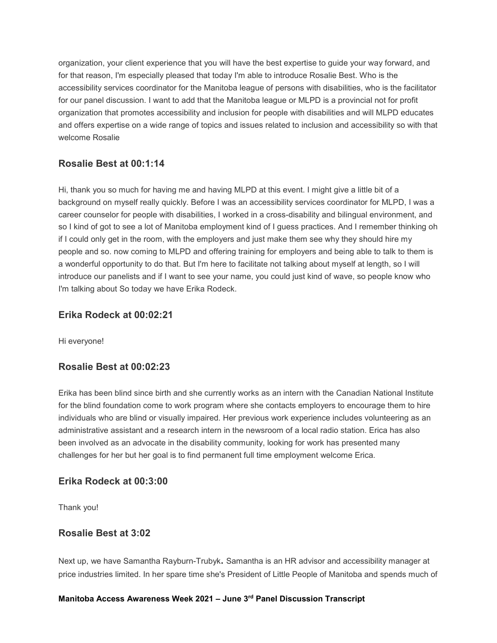organization, your client experience that you will have the best expertise to guide your way forward, and for that reason, I'm especially pleased that today I'm able to introduce Rosalie Best. Who is the accessibility services coordinator for the Manitoba league of persons with disabilities, who is the facilitator for our panel discussion. I want to add that the Manitoba league or MLPD is a provincial not for profit organization that promotes accessibility and inclusion for people with disabilities and will MLPD educates and offers expertise on a wide range of topics and issues related to inclusion and accessibility so with that welcome Rosalie

# **Rosalie Best at 00:1:14**

Hi, thank you so much for having me and having MLPD at this event. I might give a little bit of a background on myself really quickly. Before I was an accessibility services coordinator for MLPD, I was a career counselor for people with disabilities, I worked in a cross-disability and bilingual environment, and so I kind of got to see a lot of Manitoba employment kind of I guess practices. And I remember thinking oh if I could only get in the room, with the employers and just make them see why they should hire my people and so. now coming to MLPD and offering training for employers and being able to talk to them is a wonderful opportunity to do that. But I'm here to facilitate not talking about myself at length, so I will introduce our panelists and if I want to see your name, you could just kind of wave, so people know who I'm talking about So today we have Erika Rodeck.

# **Erika Rodeck at 00:02:21**

Hi everyone!

# **Rosalie Best at 00:02:23**

Erika has been blind since birth and she currently works as an intern with the Canadian National Institute for the blind foundation come to work program where she contacts employers to encourage them to hire individuals who are blind or visually impaired. Her previous work experience includes volunteering as an administrative assistant and a research intern in the newsroom of a local radio station. Erica has also been involved as an advocate in the disability community, looking for work has presented many challenges for her but her goal is to find permanent full time employment welcome Erica.

# **Erika Rodeck at 00:3:00**

Thank you!

# **Rosalie Best at 3:02**

Next up, we have Samantha Rayburn-Trubyk**.** Samantha is an HR advisor and accessibility manager at price industries limited. In her spare time she's President of Little People of Manitoba and spends much of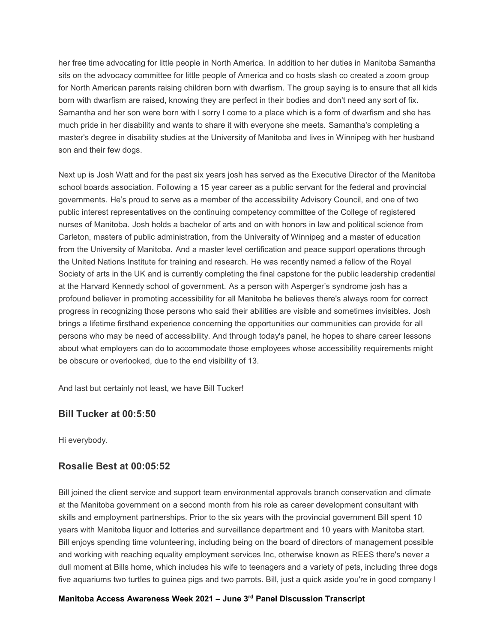her free time advocating for little people in North America. In addition to her duties in Manitoba Samantha sits on the advocacy committee for little people of America and co hosts slash co created a zoom group for North American parents raising children born with dwarfism. The group saying is to ensure that all kids born with dwarfism are raised, knowing they are perfect in their bodies and don't need any sort of fix. Samantha and her son were born with I sorry I come to a place which is a form of dwarfism and she has much pride in her disability and wants to share it with everyone she meets. Samantha's completing a master's degree in disability studies at the University of Manitoba and lives in Winnipeg with her husband son and their few dogs.

Next up is Josh Watt and for the past six years josh has served as the Executive Director of the Manitoba school boards association. Following a 15 year career as a public servant for the federal and provincial governments. He's proud to serve as a member of the accessibility Advisory Council, and one of two public interest representatives on the continuing competency committee of the College of registered nurses of Manitoba. Josh holds a bachelor of arts and on with honors in law and political science from Carleton, masters of public administration, from the University of Winnipeg and a master of education from the University of Manitoba. And a master level certification and peace support operations through the United Nations Institute for training and research. He was recently named a fellow of the Royal Society of arts in the UK and is currently completing the final capstone for the public leadership credential at the Harvard Kennedy school of government. As a person with Asperger's syndrome josh has a profound believer in promoting accessibility for all Manitoba he believes there's always room for correct progress in recognizing those persons who said their abilities are visible and sometimes invisibles. Josh brings a lifetime firsthand experience concerning the opportunities our communities can provide for all persons who may be need of accessibility. And through today's panel, he hopes to share career lessons about what employers can do to accommodate those employees whose accessibility requirements might be obscure or overlooked, due to the end visibility of 13.

And last but certainly not least, we have Bill Tucker!

# **Bill Tucker at 00:5:50**

Hi everybody.

# **Rosalie Best at 00:05:52**

Bill joined the client service and support team environmental approvals branch conservation and climate at the Manitoba government on a second month from his role as career development consultant with skills and employment partnerships. Prior to the six years with the provincial government Bill spent 10 years with Manitoba liquor and lotteries and surveillance department and 10 years with Manitoba start. Bill enjoys spending time volunteering, including being on the board of directors of management possible and working with reaching equality employment services Inc, otherwise known as REES there's never a dull moment at Bills home, which includes his wife to teenagers and a variety of pets, including three dogs five aquariums two turtles to guinea pigs and two parrots. Bill, just a quick aside you're in good company I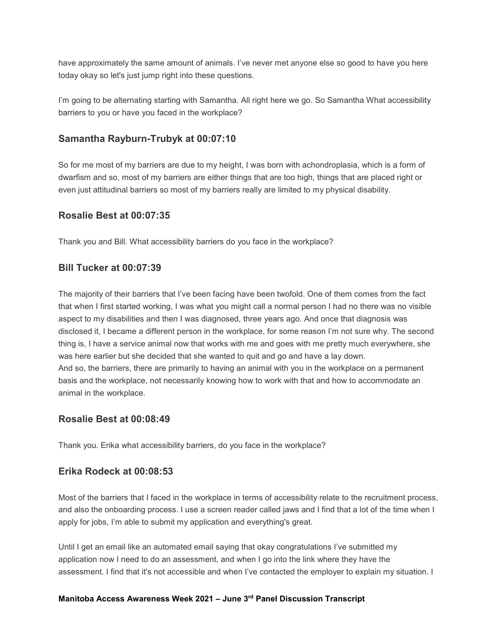have approximately the same amount of animals. I've never met anyone else so good to have you here today okay so let's just jump right into these questions.

I'm going to be alternating starting with Samantha. All right here we go. So Samantha What accessibility barriers to you or have you faced in the workplace?

# **Samantha Rayburn-Trubyk at 00:07:10**

So for me most of my barriers are due to my height, I was born with achondroplasia, which is a form of dwarfism and so, most of my barriers are either things that are too high, things that are placed right or even just attitudinal barriers so most of my barriers really are limited to my physical disability.

# **Rosalie Best at 00:07:35**

Thank you and Bill. What accessibility barriers do you face in the workplace?

# **Bill Tucker at 00:07:39**

The majority of their barriers that I've been facing have been twofold. One of them comes from the fact that when I first started working, I was what you might call a normal person I had no there was no visible aspect to my disabilities and then I was diagnosed, three years ago. And once that diagnosis was disclosed it, I became a different person in the workplace, for some reason I'm not sure why. The second thing is, I have a service animal now that works with me and goes with me pretty much everywhere, she was here earlier but she decided that she wanted to quit and go and have a lay down. And so, the barriers, there are primarily to having an animal with you in the workplace on a permanent basis and the workplace, not necessarily knowing how to work with that and how to accommodate an animal in the workplace.

# **Rosalie Best at 00:08:49**

Thank you. Erika what accessibility barriers, do you face in the workplace?

# **Erika Rodeck at 00:08:53**

Most of the barriers that I faced in the workplace in terms of accessibility relate to the recruitment process, and also the onboarding process. I use a screen reader called jaws and I find that a lot of the time when I apply for jobs, I'm able to submit my application and everything's great.

Until I get an email like an automated email saying that okay congratulations I've submitted my application now I need to do an assessment, and when I go into the link where they have the assessment. I find that it's not accessible and when I've contacted the employer to explain my situation. I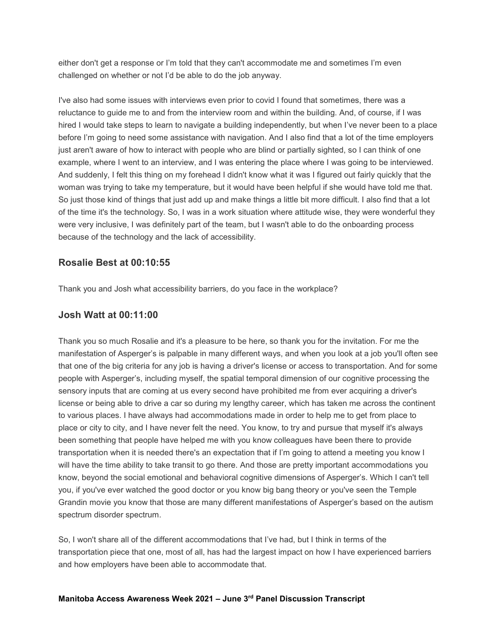either don't get a response or I'm told that they can't accommodate me and sometimes I'm even challenged on whether or not I'd be able to do the job anyway.

I've also had some issues with interviews even prior to covid I found that sometimes, there was a reluctance to guide me to and from the interview room and within the building. And, of course, if I was hired I would take steps to learn to navigate a building independently, but when I've never been to a place before I'm going to need some assistance with navigation. And I also find that a lot of the time employers just aren't aware of how to interact with people who are blind or partially sighted, so I can think of one example, where I went to an interview, and I was entering the place where I was going to be interviewed. And suddenly, I felt this thing on my forehead I didn't know what it was I figured out fairly quickly that the woman was trying to take my temperature, but it would have been helpful if she would have told me that. So just those kind of things that just add up and make things a little bit more difficult. I also find that a lot of the time it's the technology. So, I was in a work situation where attitude wise, they were wonderful they were very inclusive, I was definitely part of the team, but I wasn't able to do the onboarding process because of the technology and the lack of accessibility.

# **Rosalie Best at 00:10:55**

Thank you and Josh what accessibility barriers, do you face in the workplace?

# **Josh Watt at 00:11:00**

Thank you so much Rosalie and it's a pleasure to be here, so thank you for the invitation. For me the manifestation of Asperger's is palpable in many different ways, and when you look at a job you'll often see that one of the big criteria for any job is having a driver's license or access to transportation. And for some people with Asperger's, including myself, the spatial temporal dimension of our cognitive processing the sensory inputs that are coming at us every second have prohibited me from ever acquiring a driver's license or being able to drive a car so during my lengthy career, which has taken me across the continent to various places. I have always had accommodations made in order to help me to get from place to place or city to city, and I have never felt the need. You know, to try and pursue that myself it's always been something that people have helped me with you know colleagues have been there to provide transportation when it is needed there's an expectation that if I'm going to attend a meeting you know I will have the time ability to take transit to go there. And those are pretty important accommodations you know, beyond the social emotional and behavioral cognitive dimensions of Asperger's. Which I can't tell you, if you've ever watched the good doctor or you know big bang theory or you've seen the Temple Grandin movie you know that those are many different manifestations of Asperger's based on the autism spectrum disorder spectrum.

So, I won't share all of the different accommodations that I've had, but I think in terms of the transportation piece that one, most of all, has had the largest impact on how I have experienced barriers and how employers have been able to accommodate that.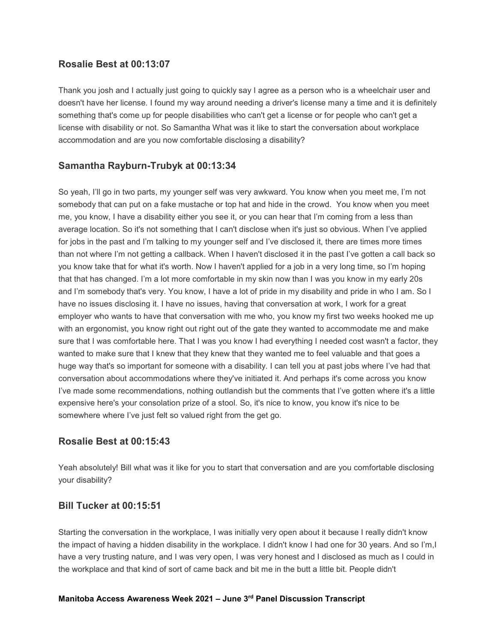# **Rosalie Best at 00:13:07**

Thank you josh and I actually just going to quickly say I agree as a person who is a wheelchair user and doesn't have her license. I found my way around needing a driver's license many a time and it is definitely something that's come up for people disabilities who can't get a license or for people who can't get a license with disability or not. So Samantha What was it like to start the conversation about workplace accommodation and are you now comfortable disclosing a disability?

# **Samantha Rayburn-Trubyk at 00:13:34**

So yeah, I'll go in two parts, my younger self was very awkward. You know when you meet me, I'm not somebody that can put on a fake mustache or top hat and hide in the crowd. You know when you meet me, you know, I have a disability either you see it, or you can hear that I'm coming from a less than average location. So it's not something that I can't disclose when it's just so obvious. When I've applied for jobs in the past and I'm talking to my younger self and I've disclosed it, there are times more times than not where I'm not getting a callback. When I haven't disclosed it in the past I've gotten a call back so you know take that for what it's worth. Now I haven't applied for a job in a very long time, so I'm hoping that that has changed. I'm a lot more comfortable in my skin now than I was you know in my early 20s and I'm somebody that's very. You know, I have a lot of pride in my disability and pride in who I am. So I have no issues disclosing it. I have no issues, having that conversation at work, I work for a great employer who wants to have that conversation with me who, you know my first two weeks hooked me up with an ergonomist, you know right out right out of the gate they wanted to accommodate me and make sure that I was comfortable here. That I was you know I had everything I needed cost wasn't a factor, they wanted to make sure that I knew that they knew that they wanted me to feel valuable and that goes a huge way that's so important for someone with a disability. I can tell you at past jobs where I've had that conversation about accommodations where they've initiated it. And perhaps it's come across you know I've made some recommendations, nothing outlandish but the comments that I've gotten where it's a little expensive here's your consolation prize of a stool. So, it's nice to know, you know it's nice to be somewhere where I've just felt so valued right from the get go.

# **Rosalie Best at 00:15:43**

Yeah absolutely! Bill what was it like for you to start that conversation and are you comfortable disclosing your disability?

# **Bill Tucker at 00:15:51**

Starting the conversation in the workplace, I was initially very open about it because I really didn't know the impact of having a hidden disability in the workplace. I didn't know I had one for 30 years. And so I'm,I have a very trusting nature, and I was very open, I was very honest and I disclosed as much as I could in the workplace and that kind of sort of came back and bit me in the butt a little bit. People didn't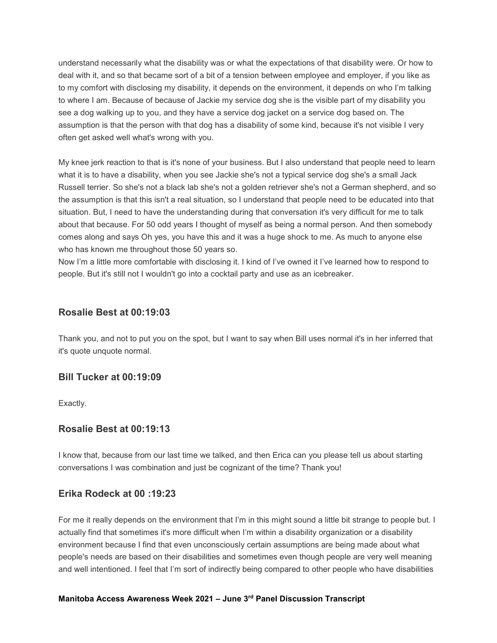understand necessarily what the disability was or what the expectations of that disability were. Or how to deal with it, and so that became sort of a bit of a tension between employee and employer, if you like as to my comfort with disclosing my disability, it depends on the environment, it depends on who I'm talking to where I am. Because of because of Jackie my service dog she is the visible part of my disability you see a dog walking up to you, and they have a service dog jacket on a service dog based on. The assumption is that the person with that dog has a disability of some kind, because it's not visible I very often get asked well what's wrong with you.

My knee jerk reaction to that is it's none of your business. But I also understand that people need to learn what it is to have a disability, when you see Jackie she's not a typical service dog she's a small Jack Russell terrier. So she's not a black lab she's not a golden retriever she's not a German shepherd, and so the assumption is that this isn't a real situation, so I understand that people need to be educated into that situation. But, I need to have the understanding during that conversation it's very difficult for me to talk about that because. For 50 odd years I thought of myself as being a normal person. And then somebody comes along and says Oh yes, you have this and it was a huge shock to me. As much to anyone else who has known me throughout those 50 years so.

Now I'm a little more comfortable with disclosing it. I kind of I've owned it I've learned how to respond to people. But it's still not I wouldn't go into a cocktail party and use as an icebreaker.

#### **Rosalie Best at 00:19:03**

Thank you, and not to put you on the spot, but I want to say when Bill uses normal it's in her inferred that it's quote unquote normal.

#### **Bill Tucker at 00:19:09**

Exactly.

#### **Rosalie Best at 00:19:13**

I know that, because from our last time we talked, and then Erica can you please tell us about starting conversations I was combination and just be cognizant of the time? Thank you!

#### **Erika Rodeck at 00 :19:23**

For me it really depends on the environment that I'm in this might sound a little bit strange to people but. I actually find that sometimes it's more difficult when I'm within a disability organization or a disability environment because I find that even unconsciously certain assumptions are being made about what people's needs are based on their disabilities and sometimes even though people are very well meaning and well intentioned. I feel that I'm sort of indirectly being compared to other people who have disabilities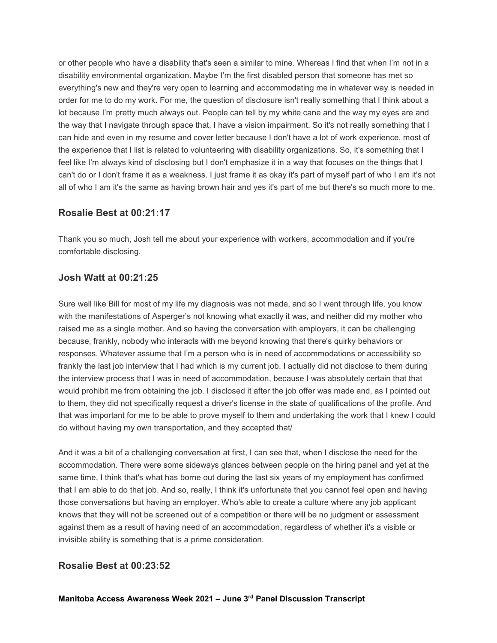or other people who have a disability that's seen a similar to mine. Whereas I find that when I'm not in a disability environmental organization. Maybe I'm the first disabled person that someone has met so everything's new and they're very open to learning and accommodating me in whatever way is needed in order for me to do my work. For me, the question of disclosure isn't really something that I think about a lot because I'm pretty much always out. People can tell by my white cane and the way my eyes are and the way that I navigate through space that, I have a vision impairment. So it's not really something that I can hide and even in my resume and cover letter because I don't have a lot of work experience, most of the experience that I list is related to volunteering with disability organizations. So, it's something that I feel like I'm always kind of disclosing but I don't emphasize it in a way that focuses on the things that I can't do or I don't frame it as a weakness. I just frame it as okay it's part of myself part of who I am it's not all of who I am it's the same as having brown hair and yes it's part of me but there's so much more to me.

# **Rosalie Best at 00:21:17**

Thank you so much, Josh tell me about your experience with workers, accommodation and if you're comfortable disclosing.

# **Josh Watt at 00:21:25**

Sure well like Bill for most of my life my diagnosis was not made, and so I went through life, you know with the manifestations of Asperger's not knowing what exactly it was, and neither did my mother who raised me as a single mother. And so having the conversation with employers, it can be challenging because, frankly, nobody who interacts with me beyond knowing that there's quirky behaviors or responses. Whatever assume that I'm a person who is in need of accommodations or accessibility so frankly the last job interview that I had which is my current job. I actually did not disclose to them during the interview process that I was in need of accommodation, because I was absolutely certain that that would prohibit me from obtaining the job. I disclosed it after the job offer was made and, as I pointed out to them, they did not specifically request a driver's license in the state of qualifications of the profile. And that was important for me to be able to prove myself to them and undertaking the work that I knew I could do without having my own transportation, and they accepted that/

And it was a bit of a challenging conversation at first, I can see that, when I disclose the need for the accommodation. There were some sideways glances between people on the hiring panel and yet at the same time, I think that's what has borne out during the last six years of my employment has confirmed that I am able to do that job. And so, really, I think it's unfortunate that you cannot feel open and having those conversations but having an employer. Who's able to create a culture where any job applicant knows that they will not be screened out of a competition or there will be no judgment or assessment against them as a result of having need of an accommodation, regardless of whether it's a visible or invisible ability is something that is a prime consideration.

# **Rosalie Best at 00:23:52**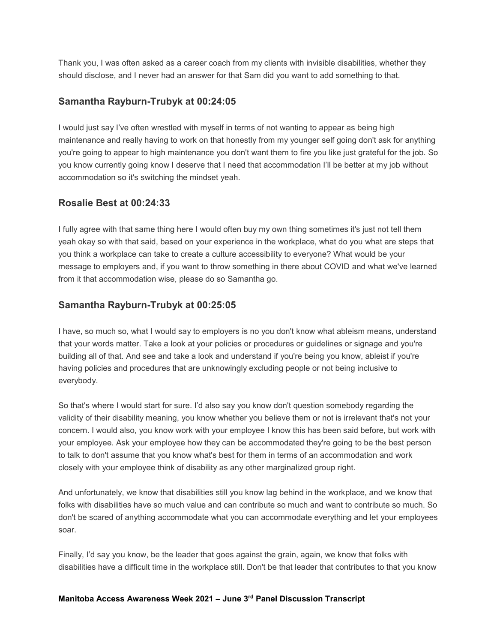Thank you, I was often asked as a career coach from my clients with invisible disabilities, whether they should disclose, and I never had an answer for that Sam did you want to add something to that.

# **Samantha Rayburn-Trubyk at 00:24:05**

I would just say I've often wrestled with myself in terms of not wanting to appear as being high maintenance and really having to work on that honestly from my younger self going don't ask for anything you're going to appear to high maintenance you don't want them to fire you like just grateful for the job. So you know currently going know I deserve that I need that accommodation I'll be better at my job without accommodation so it's switching the mindset yeah.

# **Rosalie Best at 00:24:33**

I fully agree with that same thing here I would often buy my own thing sometimes it's just not tell them yeah okay so with that said, based on your experience in the workplace, what do you what are steps that you think a workplace can take to create a culture accessibility to everyone? What would be your message to employers and, if you want to throw something in there about COVID and what we've learned from it that accommodation wise, please do so Samantha go.

# **Samantha Rayburn-Trubyk at 00:25:05**

I have, so much so, what I would say to employers is no you don't know what ableism means, understand that your words matter. Take a look at your policies or procedures or guidelines or signage and you're building all of that. And see and take a look and understand if you're being you know, ableist if you're having policies and procedures that are unknowingly excluding people or not being inclusive to everybody.

So that's where I would start for sure. I'd also say you know don't question somebody regarding the validity of their disability meaning, you know whether you believe them or not is irrelevant that's not your concern. I would also, you know work with your employee I know this has been said before, but work with your employee. Ask your employee how they can be accommodated they're going to be the best person to talk to don't assume that you know what's best for them in terms of an accommodation and work closely with your employee think of disability as any other marginalized group right.

And unfortunately, we know that disabilities still you know lag behind in the workplace, and we know that folks with disabilities have so much value and can contribute so much and want to contribute so much. So don't be scared of anything accommodate what you can accommodate everything and let your employees soar.

Finally, I'd say you know, be the leader that goes against the grain, again, we know that folks with disabilities have a difficult time in the workplace still. Don't be that leader that contributes to that you know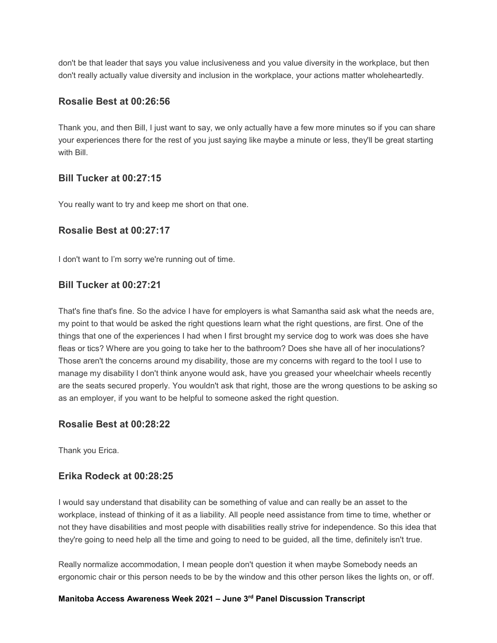don't be that leader that says you value inclusiveness and you value diversity in the workplace, but then don't really actually value diversity and inclusion in the workplace, your actions matter wholeheartedly.

# **Rosalie Best at 00:26:56**

Thank you, and then Bill, I just want to say, we only actually have a few more minutes so if you can share your experiences there for the rest of you just saying like maybe a minute or less, they'll be great starting with Bill.

# **Bill Tucker at 00:27:15**

You really want to try and keep me short on that one.

# **Rosalie Best at 00:27:17**

I don't want to I'm sorry we're running out of time.

# **Bill Tucker at 00:27:21**

That's fine that's fine. So the advice I have for employers is what Samantha said ask what the needs are, my point to that would be asked the right questions learn what the right questions, are first. One of the things that one of the experiences I had when I first brought my service dog to work was does she have fleas or tics? Where are you going to take her to the bathroom? Does she have all of her inoculations? Those aren't the concerns around my disability, those are my concerns with regard to the tool I use to manage my disability I don't think anyone would ask, have you greased your wheelchair wheels recently are the seats secured properly. You wouldn't ask that right, those are the wrong questions to be asking so as an employer, if you want to be helpful to someone asked the right question.

# **Rosalie Best at 00:28:22**

Thank you Erica.

# **Erika Rodeck at 00:28:25**

I would say understand that disability can be something of value and can really be an asset to the workplace, instead of thinking of it as a liability. All people need assistance from time to time, whether or not they have disabilities and most people with disabilities really strive for independence. So this idea that they're going to need help all the time and going to need to be guided, all the time, definitely isn't true.

Really normalize accommodation, I mean people don't question it when maybe Somebody needs an ergonomic chair or this person needs to be by the window and this other person likes the lights on, or off.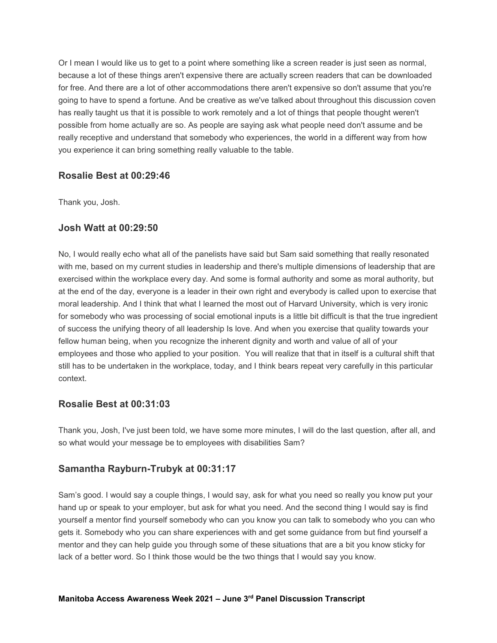Or I mean I would like us to get to a point where something like a screen reader is just seen as normal, because a lot of these things aren't expensive there are actually screen readers that can be downloaded for free. And there are a lot of other accommodations there aren't expensive so don't assume that you're going to have to spend a fortune. And be creative as we've talked about throughout this discussion coven has really taught us that it is possible to work remotely and a lot of things that people thought weren't possible from home actually are so. As people are saying ask what people need don't assume and be really receptive and understand that somebody who experiences, the world in a different way from how you experience it can bring something really valuable to the table.

# **Rosalie Best at 00:29:46**

Thank you, Josh.

# **Josh Watt at 00:29:50**

No, I would really echo what all of the panelists have said but Sam said something that really resonated with me, based on my current studies in leadership and there's multiple dimensions of leadership that are exercised within the workplace every day. And some is formal authority and some as moral authority, but at the end of the day, everyone is a leader in their own right and everybody is called upon to exercise that moral leadership. And I think that what I learned the most out of Harvard University, which is very ironic for somebody who was processing of social emotional inputs is a little bit difficult is that the true ingredient of success the unifying theory of all leadership Is love. And when you exercise that quality towards your fellow human being, when you recognize the inherent dignity and worth and value of all of your employees and those who applied to your position. You will realize that that in itself is a cultural shift that still has to be undertaken in the workplace, today, and I think bears repeat very carefully in this particular context.

# **Rosalie Best at 00:31:03**

Thank you, Josh, I've just been told, we have some more minutes, I will do the last question, after all, and so what would your message be to employees with disabilities Sam?

# **Samantha Rayburn-Trubyk at 00:31:17**

Sam's good. I would say a couple things, I would say, ask for what you need so really you know put your hand up or speak to your employer, but ask for what you need. And the second thing I would say is find yourself a mentor find yourself somebody who can you know you can talk to somebody who you can who gets it. Somebody who you can share experiences with and get some guidance from but find yourself a mentor and they can help guide you through some of these situations that are a bit you know sticky for lack of a better word. So I think those would be the two things that I would say you know.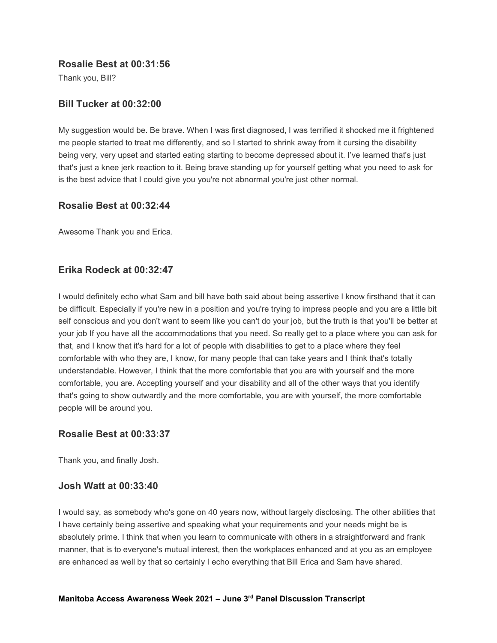#### **Rosalie Best at 00:31:56**

Thank you, Bill?

# **Bill Tucker at 00:32:00**

My suggestion would be. Be brave. When I was first diagnosed, I was terrified it shocked me it frightened me people started to treat me differently, and so I started to shrink away from it cursing the disability being very, very upset and started eating starting to become depressed about it. I've learned that's just that's just a knee jerk reaction to it. Being brave standing up for yourself getting what you need to ask for is the best advice that I could give you you're not abnormal you're just other normal.

# **Rosalie Best at 00:32:44**

Awesome Thank you and Erica.

# **Erika Rodeck at 00:32:47**

I would definitely echo what Sam and bill have both said about being assertive I know firsthand that it can be difficult. Especially if you're new in a position and you're trying to impress people and you are a little bit self conscious and you don't want to seem like you can't do your job, but the truth is that you'll be better at your job If you have all the accommodations that you need. So really get to a place where you can ask for that, and I know that it's hard for a lot of people with disabilities to get to a place where they feel comfortable with who they are, I know, for many people that can take years and I think that's totally understandable. However, I think that the more comfortable that you are with yourself and the more comfortable, you are. Accepting yourself and your disability and all of the other ways that you identify that's going to show outwardly and the more comfortable, you are with yourself, the more comfortable people will be around you.

# **Rosalie Best at 00:33:37**

Thank you, and finally Josh.

# **Josh Watt at 00:33:40**

I would say, as somebody who's gone on 40 years now, without largely disclosing. The other abilities that I have certainly being assertive and speaking what your requirements and your needs might be is absolutely prime. I think that when you learn to communicate with others in a straightforward and frank manner, that is to everyone's mutual interest, then the workplaces enhanced and at you as an employee are enhanced as well by that so certainly I echo everything that Bill Erica and Sam have shared.